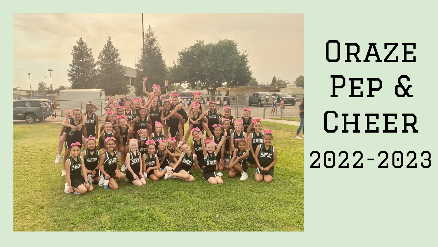

# **ORAZE** Pep & CHEER 2022-2023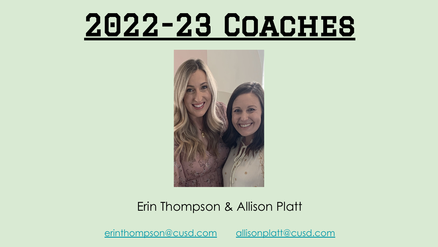### 2022-23 Coaches



#### Erin Thompson & Allison Platt

[erinthompson@cusd.com](mailto:erinthompson@cusd.com) [allisonplatt@cusd.com](mailto:allisonplatt@cusd.com)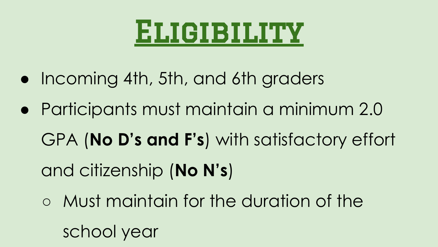### Eligibility

- Incoming 4th, 5th, and 6th graders
- Participants must maintain a minimum 2.0

GPA (**No D's and F's**) with satisfactory effort and citizenship (**No N's**)

○ Must maintain for the duration of the school year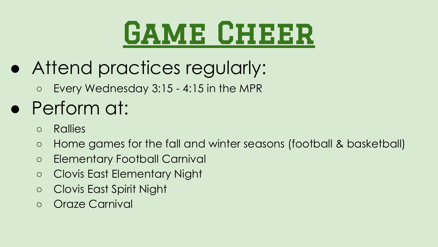## **GAME CHEER**

- Attend practices regularly:
	- Every Wednesday 3:15 4:15 in the MPR

### • Perform at:

- Rallies
- Home games for the fall and winter seasons (football & basketball)
- Elementary Football Carnival
- Clovis East Elementary Night
- Clovis East Spirit Night
- Oraze Carnival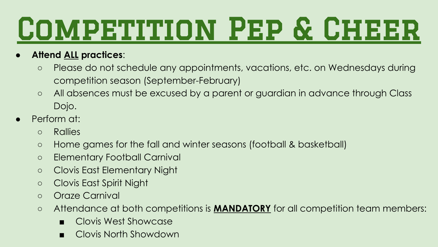# COMPETITION PEP & CHEER

- **Attend ALL practices**:
	- Please do not schedule any appointments, vacations, etc. on Wednesdays during competition season (September-February)
	- All absences must be excused by a parent or guardian in advance through Class Dojo.
- Perform at:
	- Rallies
	- Home games for the fall and winter seasons (football & basketball)
	- Elementary Football Carnival
	- Clovis East Elementary Night
	- Clovis East Spirit Night
	- Oraze Carnival
	- Attendance at both competitions is **MANDATORY** for all competition team members:
		- Clovis West Showcase
		- Clovis North Showdown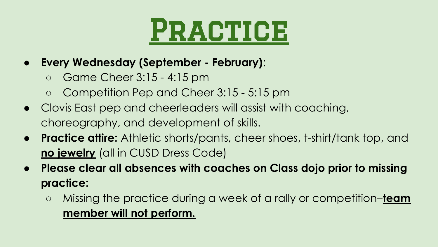

- **Every Wednesday (September February)**:
	- Game Cheer 3:15 4:15 pm
	- Competition Pep and Cheer 3:15 5:15 pm
- Clovis East pep and cheerleaders will assist with coaching, choreography, and development of skills.
- **Practice attire:** Athletic shorts/pants, cheer shoes, t-shirt/tank top, and **no jewelry** (all in CUSD Dress Code)
- **● Please clear all absences with coaches on Class dojo prior to missing practice:**
	- Missing the practice during a week of a rally or competition–**team member will not perform.**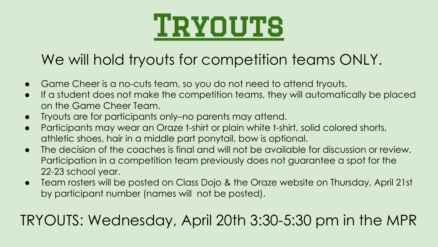

#### We will hold tryouts for competition teams ONLY.

- Game Cheer is a no-cuts team, so you do not need to attend tryouts.
- If a student does not make the competition teams, they will automatically be placed on the Game Cheer Team.
- Tryouts are for participants only–no parents may attend.
- Participants may wear an Oraze t-shirt or plain white t-shirt, solid colored shorts, athletic shoes, hair in a middle part ponytail, bow is optional.
- **●** The decision of the coaches is final and will not be available for discussion or review. Participation in a competition team previously does not guarantee a spot for the 22-23 school year.
- Team rosters will be posted on Class Dojo & the Oraze website on Thursday, April 21st by participant number (names will not be posted).

#### TRYOUTS: Wednesday, April 20th 3:30-5:30 pm in the MPR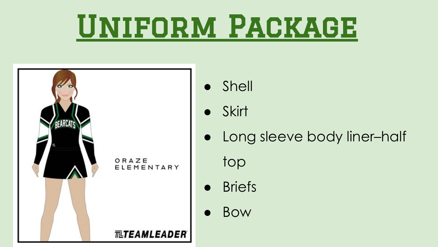## Uniform Package



- **Shell**
- Skirt
- Long sleeve body liner–half top
- Briefs
- **Bow**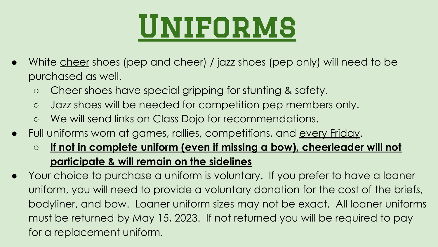## Uniforms

- White cheer shoes (pep and cheer) / jazz shoes (pep only) will need to be purchased as well.
	- Cheer shoes have special gripping for stunting & safety.
	- o Jazz shoes will be needed for competition pep members only.
	- We will send links on Class Dojo for recommendations.
- Full uniforms worn at games, rallies, competitions, and every Friday.
	- **If not in complete uniform (even if missing a bow), cheerleader will not participate & will remain on the sidelines**
- Your choice to purchase a uniform is voluntary. If you prefer to have a loaner uniform, you will need to provide a voluntary donation for the cost of the briefs, bodyliner, and bow. Loaner uniform sizes may not be exact. All loaner uniforms must be returned by May 15, 2023. If not returned you will be required to pay for a replacement uniform.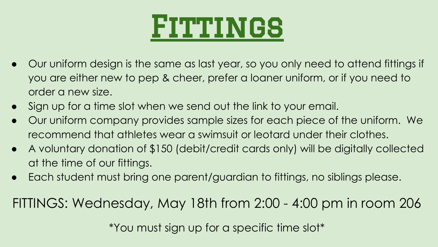

- Our uniform design is the same as last year, so you only need to attend fittings if you are either new to pep & cheer, prefer a loaner uniform, or if you need to order a new size.
- Sign up for a time slot when we send out the link to your email.
- Our uniform company provides sample sizes for each piece of the uniform. We recommend that athletes wear a swimsuit or leotard under their clothes.
- A voluntary donation of \$150 (debit/credit cards only) will be digitally collected at the time of our fittings.
- Each student must bring one parent/guardian to fittings, no siblings please.

FITTINGS: Wednesday, May 18th from 2:00 - 4:00 pm in room 206

\*You must sign up for a specific time slot\*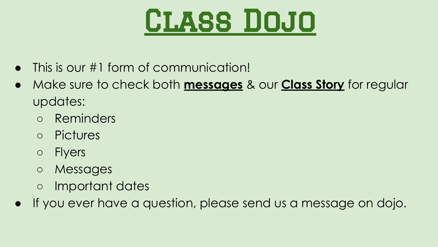

- This is our #1 form of communication!
- Make sure to check both **messages** & our **Class Story** for regular updates:
	- Reminders
	- Pictures
	- Flyers
	- Messages
	- Important dates
- If you ever have a question, please send us a message on dojo.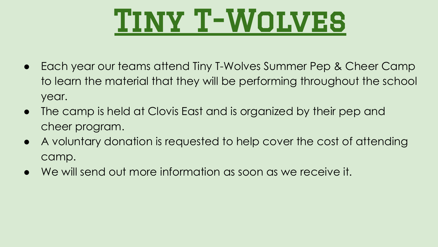

- Each year our teams attend Tiny T-Wolves Summer Pep & Cheer Camp to learn the material that they will be performing throughout the school year.
- The camp is held at Clovis East and is organized by their pep and cheer program.
- A voluntary donation is requested to help cover the cost of attending camp.
- We will send out more information as soon as we receive it.